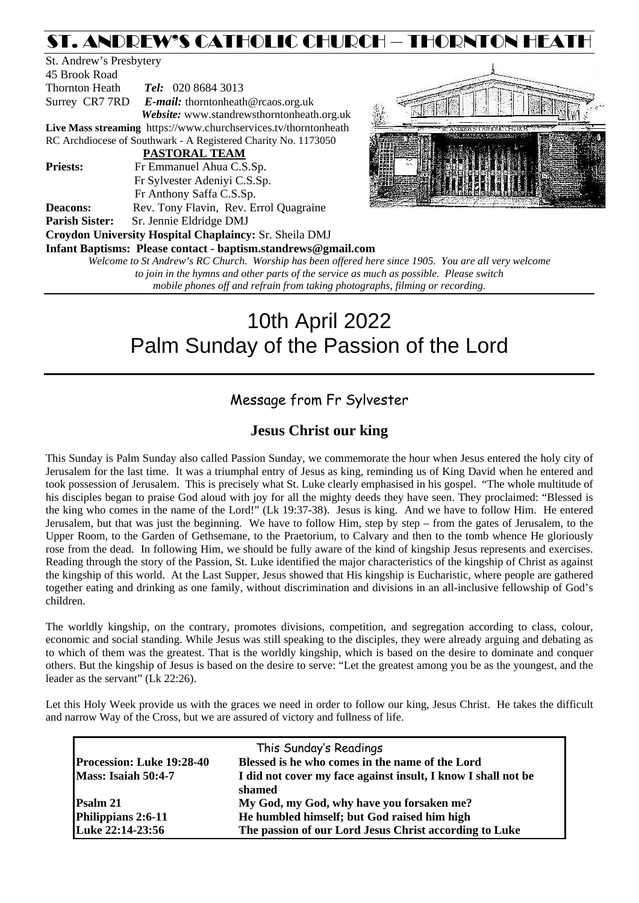# ST. ANDREW'S CATHOLIC CHURCH – THORNTON HEATH

| St. Andrew's Presbytery |                                                                 |                      |  |  |  |
|-------------------------|-----------------------------------------------------------------|----------------------|--|--|--|
| 45 Brook Road           |                                                                 |                      |  |  |  |
| Thornton Heath          | Tel: 020 8684 3013                                              |                      |  |  |  |
|                         | Surrey CR7 7RD E-mail: thorntonheath@rcaos.org.uk               |                      |  |  |  |
|                         | Website: www.standrewsthorntonheath.org.uk                      | $\frac{1}{2}$        |  |  |  |
|                         | Live Mass streaming https://www.churchservices.tv/thorntonheath |                      |  |  |  |
|                         | RC Archdiocese of Southwark - A Registered Charity No. 1173050  |                      |  |  |  |
|                         | <b>PASTORAL TEAM</b>                                            |                      |  |  |  |
| <b>Priests:</b>         | Fr Emmanuel Ahua C.S.Sp.                                        |                      |  |  |  |
|                         | Fr Sylvester Adeniyi C.S.Sp.                                    |                      |  |  |  |
|                         | Fr Anthony Saffa C.S.Sp.                                        | 1. 1. 1. 1. 1. 1. 1. |  |  |  |
| <b>Deacons:</b>         | Rev. Tony Flavin, Rev. Errol Quagraine                          |                      |  |  |  |
| <b>Parish Sister:</b>   | Sr. Jennie Eldridge DMJ                                         |                      |  |  |  |
|                         | <b>Croydon University Hospital Chaplaincy: Sr. Sheila DMJ</b>   |                      |  |  |  |
|                         | Infant Baptisms: Please contact - baptism.standrews@gmail.com   |                      |  |  |  |
|                         | Welcome to St Andrew's RC Church. Worship has been offered he   |                      |  |  |  |



*Welcome to St Andrew's RC Church. Worship has been offered here since 1905. You are all very welcome to join in the hymns and other parts of the service as much as possible. Please switch mobile phones off and refrain from taking photographs, filming or recording.*

# 10th April 2022 Palm Sunday of the Passion of the Lord

# Message from Fr Sylvester

# **Jesus Christ our king**

This Sunday is Palm Sunday also called Passion Sunday, we commemorate the hour when Jesus entered the holy city of Jerusalem for the last time. It was a triumphal entry of Jesus as king, reminding us of King David when he entered and took possession of Jerusalem. This is precisely what St. Luke clearly emphasised in his gospel. "The whole multitude of his disciples began to praise God aloud with joy for all the mighty deeds they have seen. They proclaimed: "Blessed is the king who comes in the name of the Lord!" (Lk 19:37-38). Jesus is king. And we have to follow Him. He entered Jerusalem, but that was just the beginning. We have to follow Him, step by step – from the gates of Jerusalem, to the Upper Room, to the Garden of Gethsemane, to the Praetorium, to Calvary and then to the tomb whence He gloriously rose from the dead. In following Him, we should be fully aware of the kind of kingship Jesus represents and exercises. Reading through the story of the Passion, St. Luke identified the major characteristics of the kingship of Christ as against the kingship of this world. At the Last Supper, Jesus showed that His kingship is Eucharistic, where people are gathered together eating and drinking as one family, without discrimination and divisions in an all-inclusive fellowship of God's children.

The worldly kingship, on the contrary, promotes divisions, competition, and segregation according to class, colour, economic and social standing. While Jesus was still speaking to the disciples, they were already arguing and debating as to which of them was the greatest. That is the worldly kingship, which is based on the desire to dominate and conquer others. But the kingship of Jesus is based on the desire to serve: "Let the greatest among you be as the youngest, and the leader as the servant" (Lk 22:26).

Let this Holy Week provide us with the graces we need in order to follow our king, Jesus Christ. He takes the difficult and narrow Way of the Cross, but we are assured of victory and fullness of life.

| This Sunday's Readings           |                                                                         |  |  |  |  |
|----------------------------------|-------------------------------------------------------------------------|--|--|--|--|
| <b>Procession: Luke 19:28-40</b> | Blessed is he who comes in the name of the Lord                         |  |  |  |  |
| Mass: Isaiah 50:4-7              | I did not cover my face against insult, I know I shall not be<br>shamed |  |  |  |  |
| <b>Psalm 21</b>                  | My God, my God, why have you forsaken me?                               |  |  |  |  |
| Philippians 2:6-11               | He humbled himself; but God raised him high                             |  |  |  |  |
| Luke 22:14-23:56                 | The passion of our Lord Jesus Christ according to Luke                  |  |  |  |  |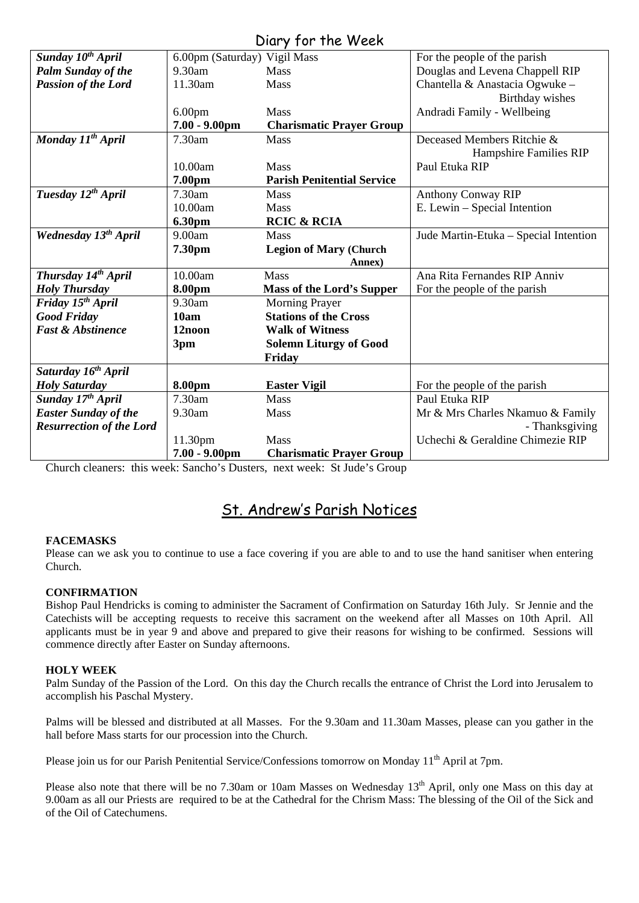# Diary for the Week

|                                  |                              | UIUI Y JUI THE WEEN               |                                       |
|----------------------------------|------------------------------|-----------------------------------|---------------------------------------|
| Sunday 10 <sup>th</sup> April    | 6.00pm (Saturday) Vigil Mass |                                   | For the people of the parish          |
| <b>Palm Sunday of the</b>        | 9.30am                       | <b>Mass</b>                       | Douglas and Levena Chappell RIP       |
| <b>Passion of the Lord</b>       | 11.30am                      | Mass                              | Chantella & Anastacia Ogwuke -        |
|                                  |                              |                                   | Birthday wishes                       |
|                                  | 6.00 <sub>pm</sub>           | <b>Mass</b>                       | Andradi Family - Wellbeing            |
|                                  | $7.00 - 9.00$ pm             | <b>Charismatic Prayer Group</b>   |                                       |
| Monday 11 <sup>th</sup> April    | 7.30am                       | Mass                              | Deceased Members Ritchie &            |
|                                  |                              |                                   | Hampshire Families RIP                |
|                                  | 10.00am                      | <b>Mass</b>                       | Paul Etuka RIP                        |
|                                  | 7.00pm                       | <b>Parish Penitential Service</b> |                                       |
| Tuesday 12 <sup>th</sup> April   | 7.30am                       | <b>Mass</b>                       | <b>Anthony Conway RIP</b>             |
|                                  | 10.00am                      | <b>Mass</b>                       | E. Lewin - Special Intention          |
|                                  | 6.30pm                       | <b>RCIC &amp; RCIA</b>            |                                       |
| Wednesday 13 <sup>th</sup> April | 9.00am                       | <b>Mass</b>                       | Jude Martin-Etuka - Special Intention |
|                                  | 7.30pm                       | <b>Legion of Mary (Church</b>     |                                       |
|                                  |                              | Annex)                            |                                       |
| Thursday 14 <sup>th</sup> April  | 10.00am                      | <b>Mass</b>                       | Ana Rita Fernandes RIP Anniv          |
| <b>Holy Thursday</b>             | 8.00pm                       | <b>Mass of the Lord's Supper</b>  | For the people of the parish          |
| Friday 15 <sup>th</sup> April    | 9.30am                       | <b>Morning Prayer</b>             |                                       |
| <b>Good Friday</b>               | 10am                         | <b>Stations of the Cross</b>      |                                       |
| <b>Fast &amp; Abstinence</b>     | 12noon                       | <b>Walk of Witness</b>            |                                       |
|                                  | 3pm                          | <b>Solemn Liturgy of Good</b>     |                                       |
|                                  |                              | Friday                            |                                       |
| Saturday 16 <sup>th</sup> April  |                              |                                   |                                       |
| <b>Holy Saturday</b>             | 8.00pm                       | <b>Easter Vigil</b>               | For the people of the parish          |
| Sunday 17th April                | 7.30am                       | <b>Mass</b>                       | Paul Etuka RIP                        |
| <b>Easter Sunday of the</b>      | 9.30am                       | Mass                              | Mr & Mrs Charles Nkamuo & Family      |
| <b>Resurrection of the Lord</b>  |                              |                                   | - Thanksgiving                        |
|                                  | 11.30pm                      | <b>Mass</b>                       | Uchechi & Geraldine Chimezie RIP      |
|                                  | $7.00 - 9.00$ pm             | <b>Charismatic Prayer Group</b>   |                                       |

Church cleaners: this week: Sancho's Dusters, next week: St Jude's Group

# St. Andrew's Parish Notices

# **FACEMASKS**

Please can we ask you to continue to use a face covering if you are able to and to use the hand sanitiser when entering Church.

# **CONFIRMATION**

Bishop Paul Hendricks is coming to administer the Sacrament of Confirmation on Saturday 16th July. Sr Jennie and the Catechists will be accepting requests to receive this sacrament on the weekend after all Masses on 10th April. All applicants must be in year 9 and above and prepared to give their reasons for wishing to be confirmed. Sessions will commence directly after Easter on Sunday afternoons.

# **HOLY WEEK**

Palm Sunday of the Passion of the Lord. On this day the Church recalls the entrance of Christ the Lord into Jerusalem to accomplish his Paschal Mystery.

Palms will be blessed and distributed at all Masses. For the 9.30am and 11.30am Masses, please can you gather in the hall before Mass starts for our procession into the Church.

Please join us for our Parish Penitential Service/Confessions tomorrow on Monday 11<sup>th</sup> April at 7pm.

Please also note that there will be no 7.30am or 10am Masses on Wednesday 13<sup>th</sup> April, only one Mass on this day at 9.00am as all our Priests are required to be at the Cathedral for the Chrism Mass: The blessing of the Oil of the Sick and of the Oil of Catechumens.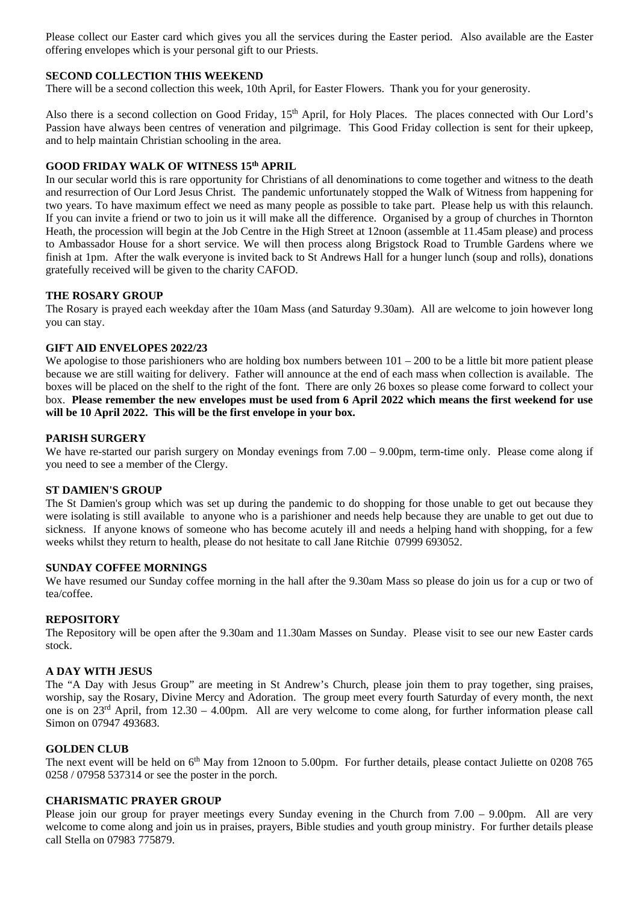Please collect our Easter card which gives you all the services during the Easter period. Also available are the Easter offering envelopes which is your personal gift to our Priests.

#### **SECOND COLLECTION THIS WEEKEND**

There will be a second collection this week, 10th April, for Easter Flowers. Thank you for your generosity.

Also there is a second collection on Good Friday, 15<sup>th</sup> April, for Holy Places. The places connected with Our Lord's Passion have always been centres of veneration and pilgrimage. This Good Friday collection is sent for their upkeep, and to help maintain Christian schooling in the area.

#### **GOOD FRIDAY WALK OF WITNESS 15th APRIL**

In our secular world this is rare opportunity for Christians of all denominations to come together and witness to the death and resurrection of Our Lord Jesus Christ. The pandemic unfortunately stopped the Walk of Witness from happening for two years. To have maximum effect we need as many people as possible to take part. Please help us with this relaunch. If you can invite a friend or two to join us it will make all the difference. Organised by a group of churches in Thornton Heath, the procession will begin at the Job Centre in the High Street at 12noon (assemble at 11.45am please) and process to Ambassador House for a short service. We will then process along Brigstock Road to Trumble Gardens where we finish at 1pm. After the walk everyone is invited back to St Andrews Hall for a hunger lunch (soup and rolls), donations gratefully received will be given to the charity CAFOD.

#### **THE ROSARY GROUP**

The Rosary is prayed each weekday after the 10am Mass (and Saturday 9.30am). All are welcome to join however long you can stay.

#### **GIFT AID ENVELOPES 2022/23**

We apologise to those parishioners who are holding box numbers between  $101 - 200$  to be a little bit more patient please because we are still waiting for delivery. Father will announce at the end of each mass when collection is available. The boxes will be placed on the shelf to the right of the font. There are only 26 boxes so please come forward to collect your box. **Please remember the new envelopes must be used from 6 April 2022 which means the first weekend for use will be 10 April 2022. This will be the first envelope in your box.** 

#### **PARISH SURGERY**

We have re-started our parish surgery on Monday evenings from 7.00 – 9.00pm, term-time only. Please come along if you need to see a member of the Clergy.

#### **ST DAMIEN'S GROUP**

The St Damien's group which was set up during the pandemic to do shopping for those unable to get out because they were isolating is still available to anyone who is a parishioner and needs help because they are unable to get out due to sickness. If anyone knows of someone who has become acutely ill and needs a helping hand with shopping, for a few weeks whilst they return to health, please do not hesitate to call Jane Ritchie 07999 693052.

#### **SUNDAY COFFEE MORNINGS**

We have resumed our Sunday coffee morning in the hall after the 9.30am Mass so please do join us for a cup or two of tea/coffee.

#### **REPOSITORY**

The Repository will be open after the 9.30am and 11.30am Masses on Sunday. Please visit to see our new Easter cards stock.

#### **A DAY WITH JESUS**

The "A Day with Jesus Group" are meeting in St Andrew's Church, please join them to pray together, sing praises, worship, say the Rosary, Divine Mercy and Adoration. The group meet every fourth Saturday of every month, the next one is on  $23^{rd}$  April, from  $12.30 - 4.00$ pm. All are very welcome to come along, for further information please call Simon on 07947 493683.

#### **GOLDEN CLUB**

The next event will be held on 6<sup>th</sup> May from 12noon to 5.00pm. For further details, please contact Juliette on 0208 765 0258 / 07958 537314 or see the poster in the porch.

#### **CHARISMATIC PRAYER GROUP**

Please join our group for prayer meetings every Sunday evening in the Church from 7.00 – 9.00pm. All are very welcome to come along and join us in praises, prayers, Bible studies and youth group ministry. For further details please call Stella on 07983 775879.